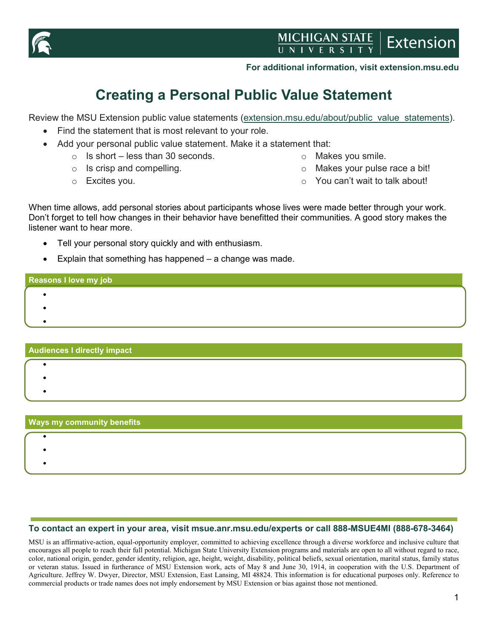

#### **For additional information, visit extension.msu.edu**

# **Creating a Personal Public Value Statement**

Review the MSU Extension public value statements [\(extension.msu.edu/about/public\\_value\\_statements\)](https://www.canr.msu.edu/outreach/about/public_value_statements).

- Find the statement that is most relevant to your role.
- Add your personal public value statement. Make it a statement that:
	- $\circ$  Is short less than 30 seconds.
	- $\circ$  Is crisp and compelling.
	- o Excites you.
- o Makes you smile.
- o Makes your pulse race a bit!
- o You can't wait to talk about!

When time allows, add personal stories about participants whose lives were made better through your work. Don't forget to tell how changes in their behavior have benefitted their communities. A good story makes the listener want to hear more.

- Tell your personal story quickly and with enthusiasm.
- Explain that something has happened  $-$  a change was made.

## **Reasons I love my job**

- •
- •
- •

#### **Audiences I directly impact**

- •
- •
- •

| <b>Ways my community benefits</b> |  |  |  |
|-----------------------------------|--|--|--|
|                                   |  |  |  |
|                                   |  |  |  |
|                                   |  |  |  |
|                                   |  |  |  |

#### **To contact an expert in your area, visit msue.anr.msu.edu/experts or call 888-MSUE4MI (888-678-3464)**

MSU is an affirmative-action, equal-opportunity employer, committed to achieving excellence through a diverse workforce and inclusive culture that encourages all people to reach their full potential. Michigan State University Extension programs and materials are open to all without regard to race, color, national origin, gender, gender identity, religion, age, height, weight, disability, political beliefs, sexual orientation, marital status, family status or veteran status. Issued in furtherance of MSU Extension work, acts of May 8 and June 30, 1914, in cooperation with the U.S. Department of Agriculture. Jeffrey W. Dwyer, Director, MSU Extension, East Lansing, MI 48824. This information is for educational purposes only. Reference to commercial products or trade names does not imply endorsement by MSU Extension or bias against those not mentioned.